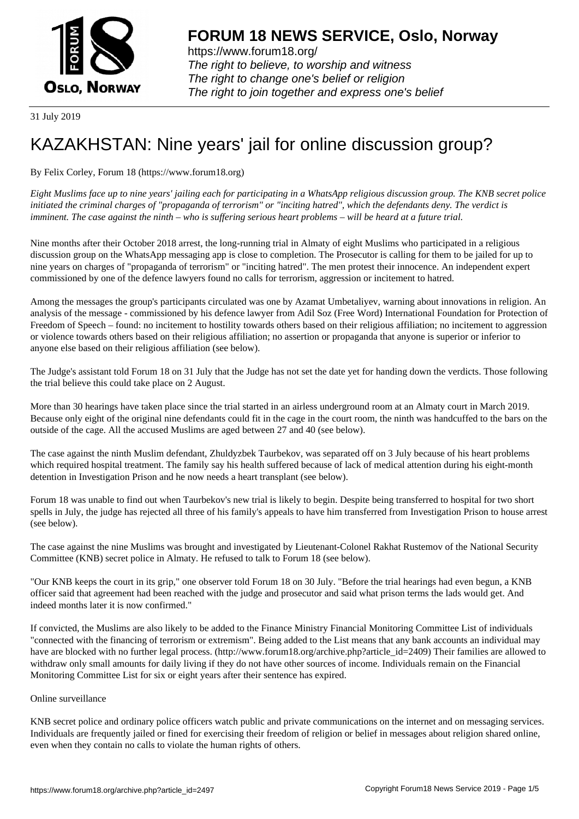

https://www.forum18.org/ The right to believe, to worship and witness The right to change one's belief or religion [The right to join together a](https://www.forum18.org/)nd express one's belief

31 July 2019

## [KAZAKHSTAN:](https://www.forum18.org) Nine years' jail for online discussion group?

By Felix Corley, Forum 18 (https://www.forum18.org)

*Eight Muslims face up to nine years' jailing each for participating in a WhatsApp religious discussion group. The KNB secret police initiated the criminal charges of "propaganda of terrorism" or "inciting hatred", which the defendants deny. The verdict is imminent. The case against the ninth – who is suffering serious heart problems – will be heard at a future trial.*

Nine months after their October 2018 arrest, the long-running trial in Almaty of eight Muslims who participated in a religious discussion group on the WhatsApp messaging app is close to completion. The Prosecutor is calling for them to be jailed for up to nine years on charges of "propaganda of terrorism" or "inciting hatred". The men protest their innocence. An independent expert commissioned by one of the defence lawyers found no calls for terrorism, aggression or incitement to hatred.

Among the messages the group's participants circulated was one by Azamat Umbetaliyev, warning about innovations in religion. An analysis of the message - commissioned by his defence lawyer from Adil Soz (Free Word) International Foundation for Protection of Freedom of Speech – found: no incitement to hostility towards others based on their religious affiliation; no incitement to aggression or violence towards others based on their religious affiliation; no assertion or propaganda that anyone is superior or inferior to anyone else based on their religious affiliation (see below).

The Judge's assistant told Forum 18 on 31 July that the Judge has not set the date yet for handing down the verdicts. Those following the trial believe this could take place on 2 August.

More than 30 hearings have taken place since the trial started in an airless underground room at an Almaty court in March 2019. Because only eight of the original nine defendants could fit in the cage in the court room, the ninth was handcuffed to the bars on the outside of the cage. All the accused Muslims are aged between 27 and 40 (see below).

The case against the ninth Muslim defendant, Zhuldyzbek Taurbekov, was separated off on 3 July because of his heart problems which required hospital treatment. The family say his health suffered because of lack of medical attention during his eight-month detention in Investigation Prison and he now needs a heart transplant (see below).

Forum 18 was unable to find out when Taurbekov's new trial is likely to begin. Despite being transferred to hospital for two short spells in July, the judge has rejected all three of his family's appeals to have him transferred from Investigation Prison to house arrest (see below).

The case against the nine Muslims was brought and investigated by Lieutenant-Colonel Rakhat Rustemov of the National Security Committee (KNB) secret police in Almaty. He refused to talk to Forum 18 (see below).

"Our KNB keeps the court in its grip," one observer told Forum 18 on 30 July. "Before the trial hearings had even begun, a KNB officer said that agreement had been reached with the judge and prosecutor and said what prison terms the lads would get. And indeed months later it is now confirmed."

If convicted, the Muslims are also likely to be added to the Finance Ministry Financial Monitoring Committee List of individuals "connected with the financing of terrorism or extremism". Being added to the List means that any bank accounts an individual may have are blocked with no further legal process. (http://www.forum18.org/archive.php?article id=2409) Their families are allowed to withdraw only small amounts for daily living if they do not have other sources of income. Individuals remain on the Financial Monitoring Committee List for six or eight years after their sentence has expired.

## Online surveillance

KNB secret police and ordinary police officers watch public and private communications on the internet and on messaging services. Individuals are frequently jailed or fined for exercising their freedom of religion or belief in messages about religion shared online, even when they contain no calls to violate the human rights of others.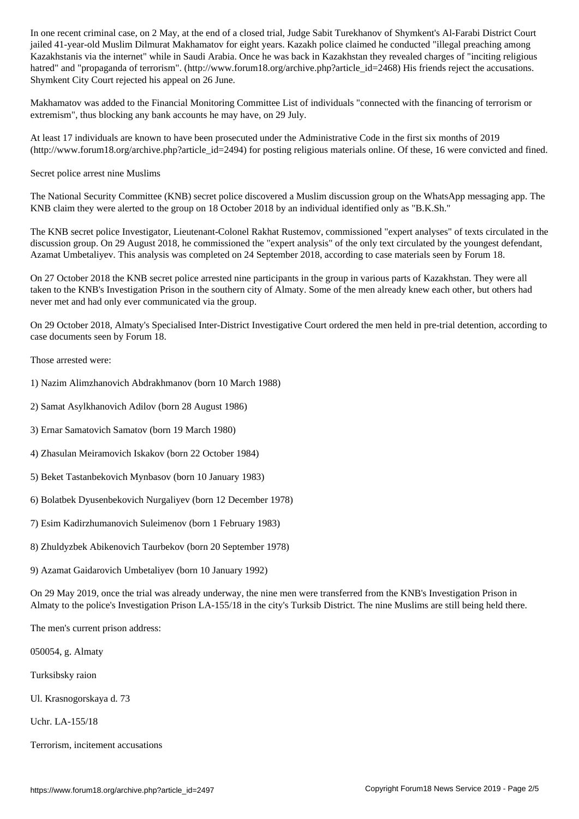jailed 41-year-old Muslim Dilmurat Makhamatov for eight years. Kazakh police claimed he conducted "illegal preaching among Kazakhstanis via the internet" while in Saudi Arabia. Once he was back in Kazakhstan they revealed charges of "inciting religious hatred" and "propaganda of terrorism". (http://www.forum18.org/archive.php?article\_id=2468) His friends reject the accusations. Shymkent City Court rejected his appeal on 26 June.

Makhamatov was added to the Financial Monitoring Committee List of individuals "connected with the financing of terrorism or extremism", thus blocking any bank accounts he may have, on 29 July.

At least 17 individuals are known to have been prosecuted under the Administrative Code in the first six months of 2019 (http://www.forum18.org/archive.php?article\_id=2494) for posting religious materials online. Of these, 16 were convicted and fined.

Secret police arrest nine Muslims

The National Security Committee (KNB) secret police discovered a Muslim discussion group on the WhatsApp messaging app. The KNB claim they were alerted to the group on 18 October 2018 by an individual identified only as "B.K.Sh."

The KNB secret police Investigator, Lieutenant-Colonel Rakhat Rustemov, commissioned "expert analyses" of texts circulated in the discussion group. On 29 August 2018, he commissioned the "expert analysis" of the only text circulated by the youngest defendant, Azamat Umbetaliyev. This analysis was completed on 24 September 2018, according to case materials seen by Forum 18.

On 27 October 2018 the KNB secret police arrested nine participants in the group in various parts of Kazakhstan. They were all taken to the KNB's Investigation Prison in the southern city of Almaty. Some of the men already knew each other, but others had never met and had only ever communicated via the group.

On 29 October 2018, Almaty's Specialised Inter-District Investigative Court ordered the men held in pre-trial detention, according to case documents seen by Forum 18.

Those arrested were:

- 1) Nazim Alimzhanovich Abdrakhmanov (born 10 March 1988)
- 2) Samat Asylkhanovich Adilov (born 28 August 1986)
- 3) Ernar Samatovich Samatov (born 19 March 1980)
- 4) Zhasulan Meiramovich Iskakov (born 22 October 1984)
- 5) Beket Tastanbekovich Mynbasov (born 10 January 1983)
- 6) Bolatbek Dyusenbekovich Nurgaliyev (born 12 December 1978)
- 7) Esim Kadirzhumanovich Suleimenov (born 1 February 1983)
- 8) Zhuldyzbek Abikenovich Taurbekov (born 20 September 1978)
- 9) Azamat Gaidarovich Umbetaliyev (born 10 January 1992)

On 29 May 2019, once the trial was already underway, the nine men were transferred from the KNB's Investigation Prison in Almaty to the police's Investigation Prison LA-155/18 in the city's Turksib District. The nine Muslims are still being held there.

The men's current prison address:

050054, g. Almaty

- Turksibsky raion
- Ul. Krasnogorskaya d. 73

Uchr. LA-155/18

Terrorism, incitement accusations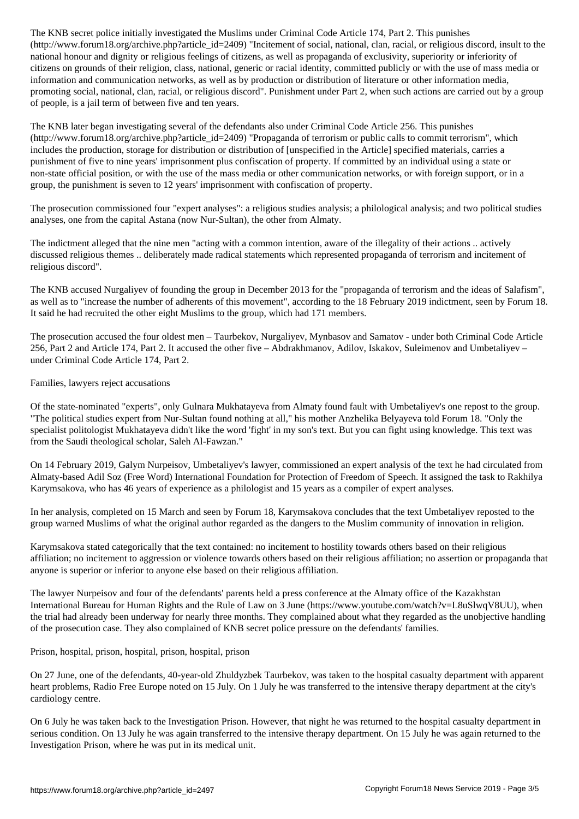(http://www.forumlarticle.com/incited\_id=2409)  $\sim$  racial, national, national, national, or religious discordinate to the social, national, or religious discordinate to the social, insult to the social discordinate to th national honour and dignity or religious feelings of citizens, as well as propaganda of exclusivity, superiority or inferiority of citizens on grounds of their religion, class, national, generic or racial identity, committed publicly or with the use of mass media or information and communication networks, as well as by production or distribution of literature or other information media, promoting social, national, clan, racial, or religious discord". Punishment under Part 2, when such actions are carried out by a group of people, is a jail term of between five and ten years.

The KNB later began investigating several of the defendants also under Criminal Code Article 256. This punishes (http://www.forum18.org/archive.php?article\_id=2409) "Propaganda of terrorism or public calls to commit terrorism", which includes the production, storage for distribution or distribution of [unspecified in the Article] specified materials, carries a punishment of five to nine years' imprisonment plus confiscation of property. If committed by an individual using a state or non-state official position, or with the use of the mass media or other communication networks, or with foreign support, or in a group, the punishment is seven to 12 years' imprisonment with confiscation of property.

The prosecution commissioned four "expert analyses": a religious studies analysis; a philological analysis; and two political studies analyses, one from the capital Astana (now Nur-Sultan), the other from Almaty.

The indictment alleged that the nine men "acting with a common intention, aware of the illegality of their actions .. actively discussed religious themes .. deliberately made radical statements which represented propaganda of terrorism and incitement of religious discord".

The KNB accused Nurgaliyev of founding the group in December 2013 for the "propaganda of terrorism and the ideas of Salafism", as well as to "increase the number of adherents of this movement", according to the 18 February 2019 indictment, seen by Forum 18. It said he had recruited the other eight Muslims to the group, which had 171 members.

The prosecution accused the four oldest men – Taurbekov, Nurgaliyev, Mynbasov and Samatov - under both Criminal Code Article 256, Part 2 and Article 174, Part 2. It accused the other five – Abdrakhmanov, Adilov, Iskakov, Suleimenov and Umbetaliyev – under Criminal Code Article 174, Part 2.

## Families, lawyers reject accusations

Of the state-nominated "experts", only Gulnara Mukhatayeva from Almaty found fault with Umbetaliyev's one repost to the group. "The political studies expert from Nur-Sultan found nothing at all," his mother Anzhelika Belyayeva told Forum 18. "Only the specialist politologist Mukhatayeva didn't like the word 'fight' in my son's text. But you can fight using knowledge. This text was from the Saudi theological scholar, Saleh Al-Fawzan."

On 14 February 2019, Galym Nurpeisov, Umbetaliyev's lawyer, commissioned an expert analysis of the text he had circulated from Almaty-based Adil Soz (Free Word) International Foundation for Protection of Freedom of Speech. It assigned the task to Rakhilya Karymsakova, who has 46 years of experience as a philologist and 15 years as a compiler of expert analyses.

In her analysis, completed on 15 March and seen by Forum 18, Karymsakova concludes that the text Umbetaliyev reposted to the group warned Muslims of what the original author regarded as the dangers to the Muslim community of innovation in religion.

Karymsakova stated categorically that the text contained: no incitement to hostility towards others based on their religious affiliation; no incitement to aggression or violence towards others based on their religious affiliation; no assertion or propaganda that anyone is superior or inferior to anyone else based on their religious affiliation.

The lawyer Nurpeisov and four of the defendants' parents held a press conference at the Almaty office of the Kazakhstan International Bureau for Human Rights and the Rule of Law on 3 June (https://www.youtube.com/watch?v=L8uSlwqV8UU), when the trial had already been underway for nearly three months. They complained about what they regarded as the unobjective handling of the prosecution case. They also complained of KNB secret police pressure on the defendants' families.

Prison, hospital, prison, hospital, prison, hospital, prison

On 27 June, one of the defendants, 40-year-old Zhuldyzbek Taurbekov, was taken to the hospital casualty department with apparent heart problems, Radio Free Europe noted on 15 July. On 1 July he was transferred to the intensive therapy department at the city's cardiology centre.

On 6 July he was taken back to the Investigation Prison. However, that night he was returned to the hospital casualty department in serious condition. On 13 July he was again transferred to the intensive therapy department. On 15 July he was again returned to the Investigation Prison, where he was put in its medical unit.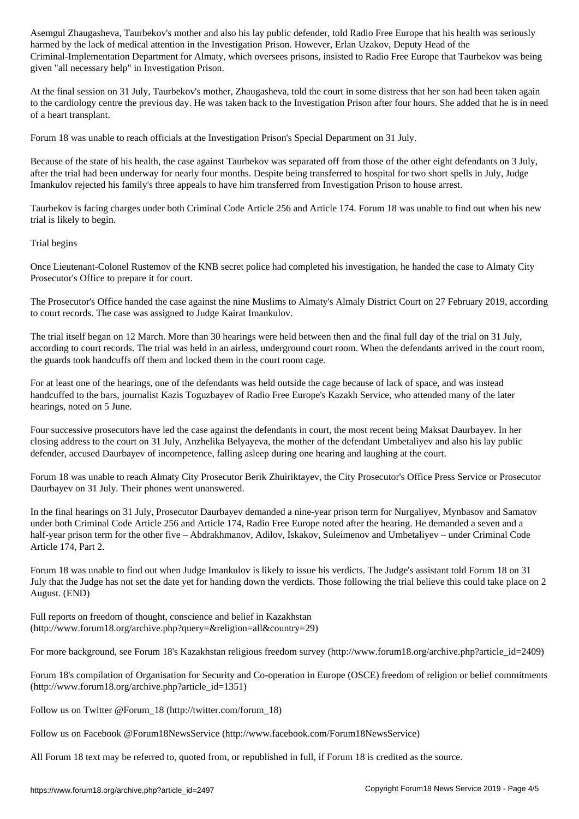harmed by the lack of medical attention in the Investigation Prison. However, Erlan Uzakov, Deputy Head of the Criminal-Implementation Department for Almaty, which oversees prisons, insisted to Radio Free Europe that Taurbekov was being given "all necessary help" in Investigation Prison.

At the final session on 31 July, Taurbekov's mother, Zhaugasheva, told the court in some distress that her son had been taken again to the cardiology centre the previous day. He was taken back to the Investigation Prison after four hours. She added that he is in need of a heart transplant.

Forum 18 was unable to reach officials at the Investigation Prison's Special Department on 31 July.

Because of the state of his health, the case against Taurbekov was separated off from those of the other eight defendants on 3 July, after the trial had been underway for nearly four months. Despite being transferred to hospital for two short spells in July, Judge Imankulov rejected his family's three appeals to have him transferred from Investigation Prison to house arrest.

Taurbekov is facing charges under both Criminal Code Article 256 and Article 174. Forum 18 was unable to find out when his new trial is likely to begin.

## Trial begins

Once Lieutenant-Colonel Rustemov of the KNB secret police had completed his investigation, he handed the case to Almaty City Prosecutor's Office to prepare it for court.

The Prosecutor's Office handed the case against the nine Muslims to Almaty's Almaly District Court on 27 February 2019, according to court records. The case was assigned to Judge Kairat Imankulov.

The trial itself began on 12 March. More than 30 hearings were held between then and the final full day of the trial on 31 July, according to court records. The trial was held in an airless, underground court room. When the defendants arrived in the court room, the guards took handcuffs off them and locked them in the court room cage.

For at least one of the hearings, one of the defendants was held outside the cage because of lack of space, and was instead handcuffed to the bars, journalist Kazis Toguzbayev of Radio Free Europe's Kazakh Service, who attended many of the later hearings, noted on 5 June.

Four successive prosecutors have led the case against the defendants in court, the most recent being Maksat Daurbayev. In her closing address to the court on 31 July, Anzhelika Belyayeva, the mother of the defendant Umbetaliyev and also his lay public defender, accused Daurbayev of incompetence, falling asleep during one hearing and laughing at the court.

Forum 18 was unable to reach Almaty City Prosecutor Berik Zhuiriktayev, the City Prosecutor's Office Press Service or Prosecutor Daurbayev on 31 July. Their phones went unanswered.

In the final hearings on 31 July, Prosecutor Daurbayev demanded a nine-year prison term for Nurgaliyev, Mynbasov and Samatov under both Criminal Code Article 256 and Article 174, Radio Free Europe noted after the hearing. He demanded a seven and a half-year prison term for the other five – Abdrakhmanov, Adilov, Iskakov, Suleimenov and Umbetaliyev – under Criminal Code Article 174, Part 2.

Forum 18 was unable to find out when Judge Imankulov is likely to issue his verdicts. The Judge's assistant told Forum 18 on 31 July that the Judge has not set the date yet for handing down the verdicts. Those following the trial believe this could take place on 2 August. (END)

Full reports on freedom of thought, conscience and belief in Kazakhstan (http://www.forum18.org/archive.php?query=&religion=all&country=29)

For more background, see Forum 18's Kazakhstan religious freedom survey (http://www.forum18.org/archive.php?article\_id=2409)

Forum 18's compilation of Organisation for Security and Co-operation in Europe (OSCE) freedom of religion or belief commitments (http://www.forum18.org/archive.php?article\_id=1351)

Follow us on Twitter @Forum\_18 (http://twitter.com/forum\_18)

Follow us on Facebook @Forum18NewsService (http://www.facebook.com/Forum18NewsService)

All Forum 18 text may be referred to, quoted from, or republished in full, if Forum 18 is credited as the source.